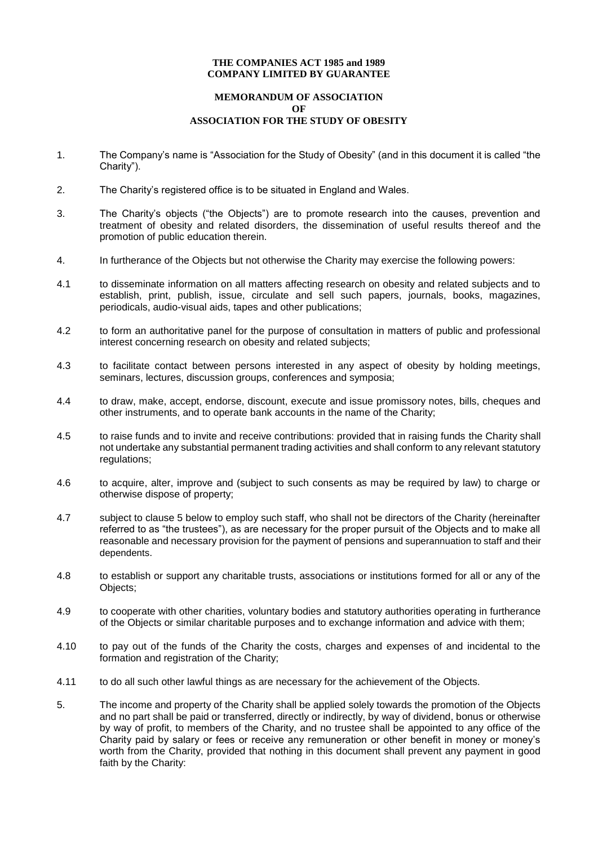#### **THE COMPANIES ACT 1985 and 1989 COMPANY LIMITED BY GUARANTEE**

## **MEMORANDUM OF ASSOCIATION OF ASSOCIATION FOR THE STUDY OF OBESITY**

- 1. The Company's name is "Association for the Study of Obesity" (and in this document it is called "the Charity").
- 2. The Charity's registered office is to be situated in England and Wales.
- 3. The Charity's objects ("the Objects") are to promote research into the causes, prevention and treatment of obesity and related disorders, the dissemination of useful results thereof and the promotion of public education therein.
- 4. In furtherance of the Objects but not otherwise the Charity may exercise the following powers:
- 4.1 to disseminate information on all matters affecting research on obesity and related subjects and to establish, print, publish, issue, circulate and sell such papers, journals, books, magazines, periodicals, audio-visual aids, tapes and other publications;
- 4.2 to form an authoritative panel for the purpose of consultation in matters of public and professional interest concerning research on obesity and related subjects;
- 4.3 to facilitate contact between persons interested in any aspect of obesity by holding meetings, seminars, lectures, discussion groups, conferences and symposia;
- 4.4 to draw, make, accept, endorse, discount, execute and issue promissory notes, bills, cheques and other instruments, and to operate bank accounts in the name of the Charity;
- 4.5 to raise funds and to invite and receive contributions: provided that in raising funds the Charity shall not undertake any substantial permanent trading activities and shall conform to any relevant statutory regulations:
- 4.6 to acquire, alter, improve and (subject to such consents as may be required by law) to charge or otherwise dispose of property;
- 4.7 subject to clause 5 below to employ such staff, who shall not be directors of the Charity (hereinafter referred to as "the trustees"), as are necessary for the proper pursuit of the Objects and to make all reasonable and necessary provision for the payment of pensions and superannuation to staff and their dependents.
- 4.8 to establish or support any charitable trusts, associations or institutions formed for all or any of the Objects;
- 4.9 to cooperate with other charities, voluntary bodies and statutory authorities operating in furtherance of the Objects or similar charitable purposes and to exchange information and advice with them;
- 4.10 to pay out of the funds of the Charity the costs, charges and expenses of and incidental to the formation and registration of the Charity;
- 4.11 to do all such other lawful things as are necessary for the achievement of the Objects.
- 5. The income and property of the Charity shall be applied solely towards the promotion of the Objects and no part shall be paid or transferred, directly or indirectly, by way of dividend, bonus or otherwise by way of profit, to members of the Charity, and no trustee shall be appointed to any office of the Charity paid by salary or fees or receive any remuneration or other benefit in money or money's worth from the Charity, provided that nothing in this document shall prevent any payment in good faith by the Charity: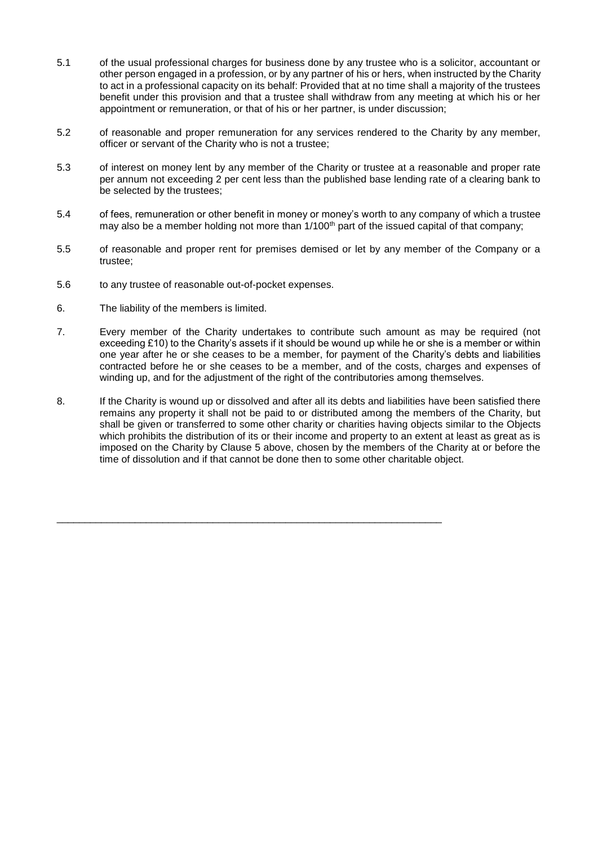- 5.1 of the usual professional charges for business done by any trustee who is a solicitor, accountant or other person engaged in a profession, or by any partner of his or hers, when instructed by the Charity to act in a professional capacity on its behalf: Provided that at no time shall a majority of the trustees benefit under this provision and that a trustee shall withdraw from any meeting at which his or her appointment or remuneration, or that of his or her partner, is under discussion;
- 5.2 of reasonable and proper remuneration for any services rendered to the Charity by any member, officer or servant of the Charity who is not a trustee;
- 5.3 of interest on money lent by any member of the Charity or trustee at a reasonable and proper rate per annum not exceeding 2 per cent less than the published base lending rate of a clearing bank to be selected by the trustees;
- 5.4 of fees, remuneration or other benefit in money or money's worth to any company of which a trustee may also be a member holding not more than 1/100th part of the issued capital of that company;
- 5.5 of reasonable and proper rent for premises demised or let by any member of the Company or a trustee;
- 5.6 to any trustee of reasonable out-of-pocket expenses.
- 6. The liability of the members is limited.
- 7. Every member of the Charity undertakes to contribute such amount as may be required (not exceeding £10) to the Charity's assets if it should be wound up while he or she is a member or within one year after he or she ceases to be a member, for payment of the Charity's debts and liabilities contracted before he or she ceases to be a member, and of the costs, charges and expenses of winding up, and for the adjustment of the right of the contributories among themselves.
- 8. If the Charity is wound up or dissolved and after all its debts and liabilities have been satisfied there remains any property it shall not be paid to or distributed among the members of the Charity, but shall be given or transferred to some other charity or charities having objects similar to the Objects which prohibits the distribution of its or their income and property to an extent at least as great as is imposed on the Charity by Clause 5 above, chosen by the members of the Charity at or before the time of dissolution and if that cannot be done then to some other charitable object.

\_\_\_\_\_\_\_\_\_\_\_\_\_\_\_\_\_\_\_\_\_\_\_\_\_\_\_\_\_\_\_\_\_\_\_\_\_\_\_\_\_\_\_\_\_\_\_\_\_\_\_\_\_\_\_\_\_\_\_\_\_\_\_\_\_\_\_\_\_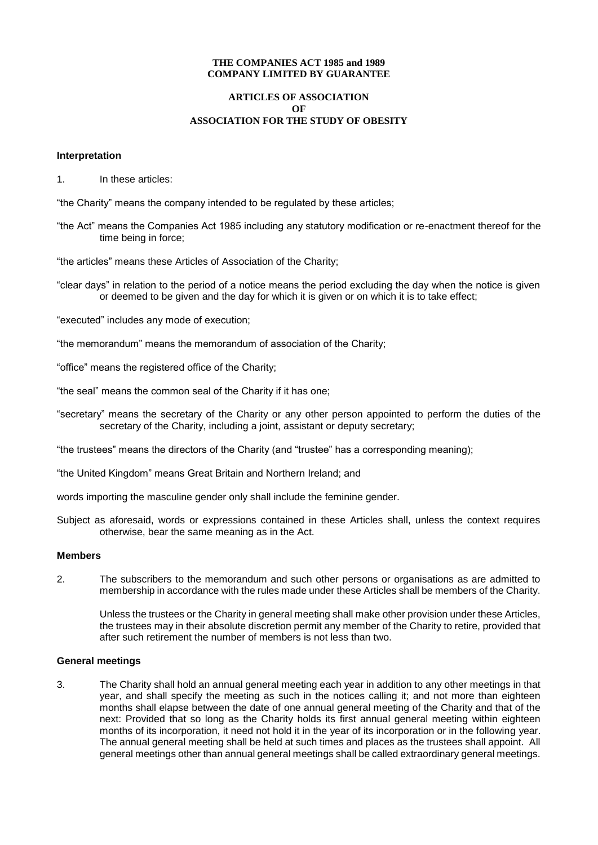#### **THE COMPANIES ACT 1985 and 1989 COMPANY LIMITED BY GUARANTEE**

## **ARTICLES OF ASSOCIATION OF ASSOCIATION FOR THE STUDY OF OBESITY**

#### **Interpretation**

1. In these articles:

"the Charity" means the company intended to be regulated by these articles;

"the Act" means the Companies Act 1985 including any statutory modification or re-enactment thereof for the time being in force;

"the articles" means these Articles of Association of the Charity;

"clear days" in relation to the period of a notice means the period excluding the day when the notice is given or deemed to be given and the day for which it is given or on which it is to take effect;

"executed" includes any mode of execution;

- "the memorandum" means the memorandum of association of the Charity;
- "office" means the registered office of the Charity;
- "the seal" means the common seal of the Charity if it has one;
- "secretary" means the secretary of the Charity or any other person appointed to perform the duties of the secretary of the Charity, including a joint, assistant or deputy secretary;

"the trustees" means the directors of the Charity (and "trustee" has a corresponding meaning);

"the United Kingdom" means Great Britain and Northern Ireland; and

words importing the masculine gender only shall include the feminine gender.

Subject as aforesaid, words or expressions contained in these Articles shall, unless the context requires otherwise, bear the same meaning as in the Act.

#### **Members**

2. The subscribers to the memorandum and such other persons or organisations as are admitted to membership in accordance with the rules made under these Articles shall be members of the Charity.

Unless the trustees or the Charity in general meeting shall make other provision under these Articles, the trustees may in their absolute discretion permit any member of the Charity to retire, provided that after such retirement the number of members is not less than two.

#### **General meetings**

3. The Charity shall hold an annual general meeting each year in addition to any other meetings in that year, and shall specify the meeting as such in the notices calling it; and not more than eighteen months shall elapse between the date of one annual general meeting of the Charity and that of the next: Provided that so long as the Charity holds its first annual general meeting within eighteen months of its incorporation, it need not hold it in the year of its incorporation or in the following year. The annual general meeting shall be held at such times and places as the trustees shall appoint. All general meetings other than annual general meetings shall be called extraordinary general meetings.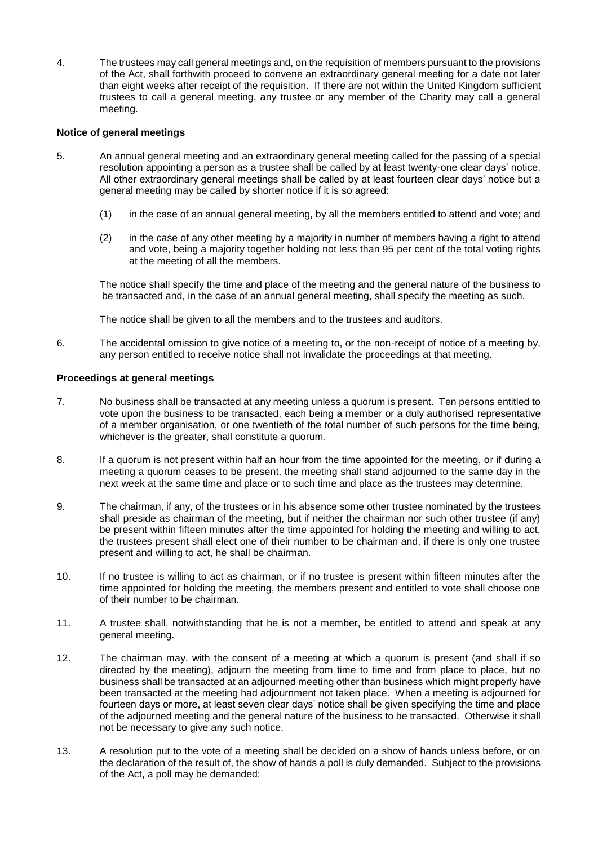4. The trustees may call general meetings and, on the requisition of members pursuant to the provisions of the Act, shall forthwith proceed to convene an extraordinary general meeting for a date not later than eight weeks after receipt of the requisition. If there are not within the United Kingdom sufficient trustees to call a general meeting, any trustee or any member of the Charity may call a general meeting.

## **Notice of general meetings**

- 5. An annual general meeting and an extraordinary general meeting called for the passing of a special resolution appointing a person as a trustee shall be called by at least twenty-one clear days' notice. All other extraordinary general meetings shall be called by at least fourteen clear days' notice but a general meeting may be called by shorter notice if it is so agreed:
	- (1) in the case of an annual general meeting, by all the members entitled to attend and vote; and
	- (2) in the case of any other meeting by a majority in number of members having a right to attend and vote, being a majority together holding not less than 95 per cent of the total voting rights at the meeting of all the members.

The notice shall specify the time and place of the meeting and the general nature of the business to be transacted and, in the case of an annual general meeting, shall specify the meeting as such.

The notice shall be given to all the members and to the trustees and auditors.

6. The accidental omission to give notice of a meeting to, or the non-receipt of notice of a meeting by, any person entitled to receive notice shall not invalidate the proceedings at that meeting.

## **Proceedings at general meetings**

- 7. No business shall be transacted at any meeting unless a quorum is present. Ten persons entitled to vote upon the business to be transacted, each being a member or a duly authorised representative of a member organisation, or one twentieth of the total number of such persons for the time being, whichever is the greater, shall constitute a quorum.
- 8. If a quorum is not present within half an hour from the time appointed for the meeting, or if during a meeting a quorum ceases to be present, the meeting shall stand adjourned to the same day in the next week at the same time and place or to such time and place as the trustees may determine.
- 9. The chairman, if any, of the trustees or in his absence some other trustee nominated by the trustees shall preside as chairman of the meeting, but if neither the chairman nor such other trustee (if any) be present within fifteen minutes after the time appointed for holding the meeting and willing to act, the trustees present shall elect one of their number to be chairman and, if there is only one trustee present and willing to act, he shall be chairman.
- 10. If no trustee is willing to act as chairman, or if no trustee is present within fifteen minutes after the time appointed for holding the meeting, the members present and entitled to vote shall choose one of their number to be chairman.
- 11. A trustee shall, notwithstanding that he is not a member, be entitled to attend and speak at any general meeting.
- 12. The chairman may, with the consent of a meeting at which a quorum is present (and shall if so directed by the meeting), adjourn the meeting from time to time and from place to place, but no business shall be transacted at an adjourned meeting other than business which might properly have been transacted at the meeting had adjournment not taken place. When a meeting is adjourned for fourteen days or more, at least seven clear days' notice shall be given specifying the time and place of the adjourned meeting and the general nature of the business to be transacted. Otherwise it shall not be necessary to give any such notice.
- 13. A resolution put to the vote of a meeting shall be decided on a show of hands unless before, or on the declaration of the result of, the show of hands a poll is duly demanded. Subject to the provisions of the Act, a poll may be demanded: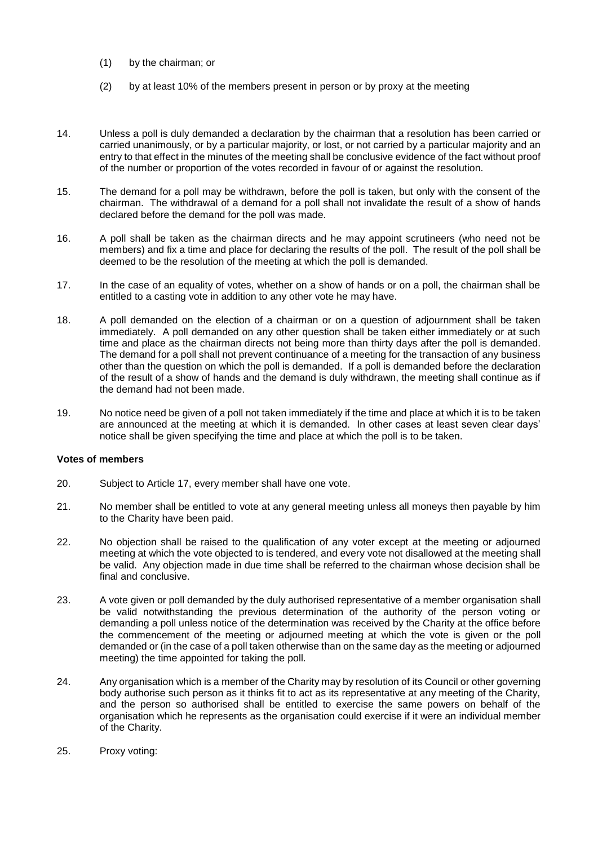- (1) by the chairman; or
- (2) by at least 10% of the members present in person or by proxy at the meeting
- 14. Unless a poll is duly demanded a declaration by the chairman that a resolution has been carried or carried unanimously, or by a particular majority, or lost, or not carried by a particular majority and an entry to that effect in the minutes of the meeting shall be conclusive evidence of the fact without proof of the number or proportion of the votes recorded in favour of or against the resolution.
- 15. The demand for a poll may be withdrawn, before the poll is taken, but only with the consent of the chairman. The withdrawal of a demand for a poll shall not invalidate the result of a show of hands declared before the demand for the poll was made.
- 16. A poll shall be taken as the chairman directs and he may appoint scrutineers (who need not be members) and fix a time and place for declaring the results of the poll. The result of the poll shall be deemed to be the resolution of the meeting at which the poll is demanded.
- 17. In the case of an equality of votes, whether on a show of hands or on a poll, the chairman shall be entitled to a casting vote in addition to any other vote he may have.
- 18. A poll demanded on the election of a chairman or on a question of adjournment shall be taken immediately. A poll demanded on any other question shall be taken either immediately or at such time and place as the chairman directs not being more than thirty days after the poll is demanded. The demand for a poll shall not prevent continuance of a meeting for the transaction of any business other than the question on which the poll is demanded. If a poll is demanded before the declaration of the result of a show of hands and the demand is duly withdrawn, the meeting shall continue as if the demand had not been made.
- 19. No notice need be given of a poll not taken immediately if the time and place at which it is to be taken are announced at the meeting at which it is demanded. In other cases at least seven clear days' notice shall be given specifying the time and place at which the poll is to be taken.

#### **Votes of members**

- 20. Subject to Article 17, every member shall have one vote.
- 21. No member shall be entitled to vote at any general meeting unless all moneys then payable by him to the Charity have been paid.
- 22. No objection shall be raised to the qualification of any voter except at the meeting or adjourned meeting at which the vote objected to is tendered, and every vote not disallowed at the meeting shall be valid. Any objection made in due time shall be referred to the chairman whose decision shall be final and conclusive.
- 23. A vote given or poll demanded by the duly authorised representative of a member organisation shall be valid notwithstanding the previous determination of the authority of the person voting or demanding a poll unless notice of the determination was received by the Charity at the office before the commencement of the meeting or adjourned meeting at which the vote is given or the poll demanded or (in the case of a poll taken otherwise than on the same day as the meeting or adjourned meeting) the time appointed for taking the poll.
- 24. Any organisation which is a member of the Charity may by resolution of its Council or other governing body authorise such person as it thinks fit to act as its representative at any meeting of the Charity, and the person so authorised shall be entitled to exercise the same powers on behalf of the organisation which he represents as the organisation could exercise if it were an individual member of the Charity.
- 25. Proxy voting: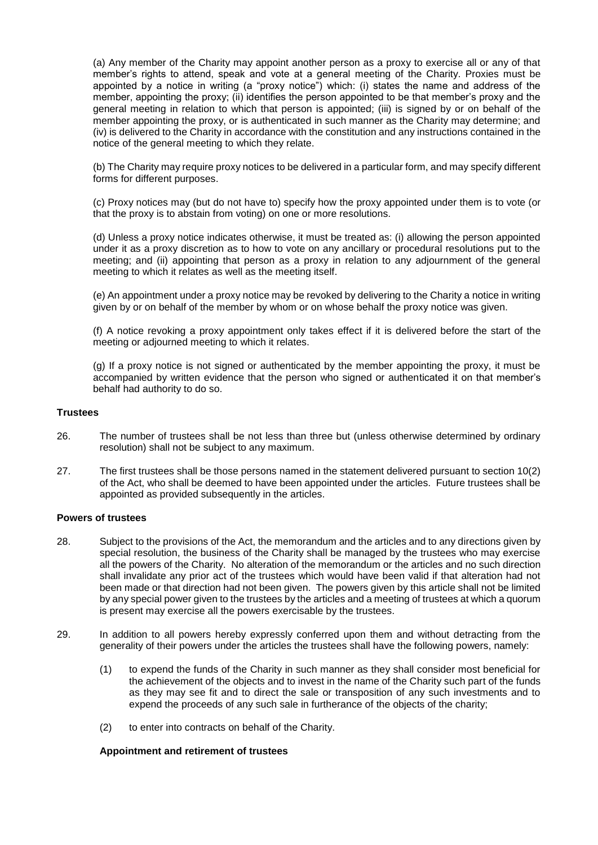(a) Any member of the Charity may appoint another person as a proxy to exercise all or any of that member's rights to attend, speak and vote at a general meeting of the Charity. Proxies must be appointed by a notice in writing (a "proxy notice") which: (i) states the name and address of the member, appointing the proxy; (ii) identifies the person appointed to be that member's proxy and the general meeting in relation to which that person is appointed; (iii) is signed by or on behalf of the member appointing the proxy, or is authenticated in such manner as the Charity may determine; and (iv) is delivered to the Charity in accordance with the constitution and any instructions contained in the notice of the general meeting to which they relate.

(b) The Charity may require proxy notices to be delivered in a particular form, and may specify different forms for different purposes.

(c) Proxy notices may (but do not have to) specify how the proxy appointed under them is to vote (or that the proxy is to abstain from voting) on one or more resolutions.

(d) Unless a proxy notice indicates otherwise, it must be treated as: (i) allowing the person appointed under it as a proxy discretion as to how to vote on any ancillary or procedural resolutions put to the meeting; and (ii) appointing that person as a proxy in relation to any adjournment of the general meeting to which it relates as well as the meeting itself.

(e) An appointment under a proxy notice may be revoked by delivering to the Charity a notice in writing given by or on behalf of the member by whom or on whose behalf the proxy notice was given.

(f) A notice revoking a proxy appointment only takes effect if it is delivered before the start of the meeting or adjourned meeting to which it relates.

(g) If a proxy notice is not signed or authenticated by the member appointing the proxy, it must be accompanied by written evidence that the person who signed or authenticated it on that member's behalf had authority to do so.

## **Trustees**

- 26. The number of trustees shall be not less than three but (unless otherwise determined by ordinary resolution) shall not be subject to any maximum.
- 27. The first trustees shall be those persons named in the statement delivered pursuant to section 10(2) of the Act, who shall be deemed to have been appointed under the articles. Future trustees shall be appointed as provided subsequently in the articles.

#### **Powers of trustees**

- 28. Subject to the provisions of the Act, the memorandum and the articles and to any directions given by special resolution, the business of the Charity shall be managed by the trustees who may exercise all the powers of the Charity. No alteration of the memorandum or the articles and no such direction shall invalidate any prior act of the trustees which would have been valid if that alteration had not been made or that direction had not been given. The powers given by this article shall not be limited by any special power given to the trustees by the articles and a meeting of trustees at which a quorum is present may exercise all the powers exercisable by the trustees.
- 29. In addition to all powers hereby expressly conferred upon them and without detracting from the generality of their powers under the articles the trustees shall have the following powers, namely:
	- (1) to expend the funds of the Charity in such manner as they shall consider most beneficial for the achievement of the objects and to invest in the name of the Charity such part of the funds as they may see fit and to direct the sale or transposition of any such investments and to expend the proceeds of any such sale in furtherance of the objects of the charity;
	- (2) to enter into contracts on behalf of the Charity.

## **Appointment and retirement of trustees**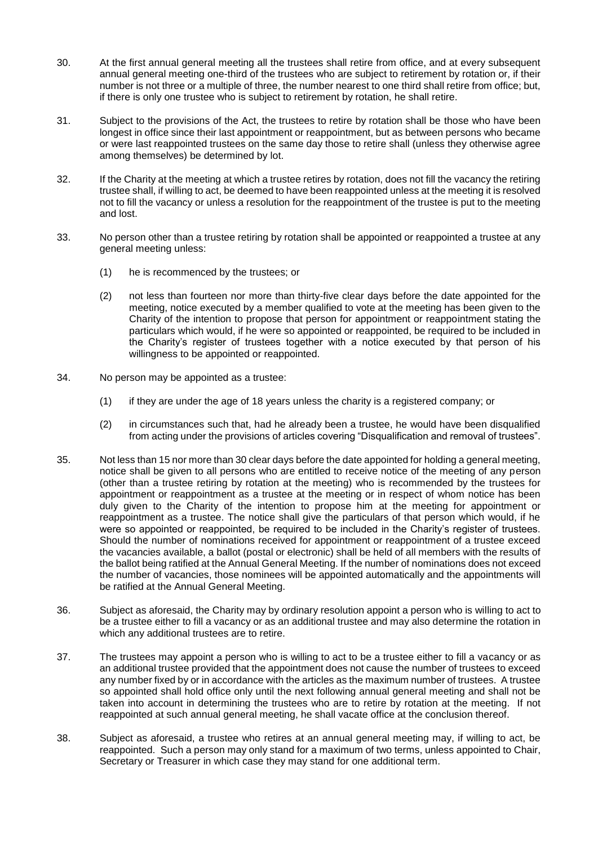- 30. At the first annual general meeting all the trustees shall retire from office, and at every subsequent annual general meeting one-third of the trustees who are subject to retirement by rotation or, if their number is not three or a multiple of three, the number nearest to one third shall retire from office; but, if there is only one trustee who is subject to retirement by rotation, he shall retire.
- 31. Subject to the provisions of the Act, the trustees to retire by rotation shall be those who have been longest in office since their last appointment or reappointment, but as between persons who became or were last reappointed trustees on the same day those to retire shall (unless they otherwise agree among themselves) be determined by lot.
- 32. If the Charity at the meeting at which a trustee retires by rotation, does not fill the vacancy the retiring trustee shall, if willing to act, be deemed to have been reappointed unless at the meeting it is resolved not to fill the vacancy or unless a resolution for the reappointment of the trustee is put to the meeting and lost.
- 33. No person other than a trustee retiring by rotation shall be appointed or reappointed a trustee at any general meeting unless:
	- (1) he is recommenced by the trustees; or
	- (2) not less than fourteen nor more than thirty-five clear days before the date appointed for the meeting, notice executed by a member qualified to vote at the meeting has been given to the Charity of the intention to propose that person for appointment or reappointment stating the particulars which would, if he were so appointed or reappointed, be required to be included in the Charity's register of trustees together with a notice executed by that person of his willingness to be appointed or reappointed.
- 34. No person may be appointed as a trustee:
	- (1) if they are under the age of 18 years unless the charity is a registered company; or
	- (2) in circumstances such that, had he already been a trustee, he would have been disqualified from acting under the provisions of articles covering "Disqualification and removal of trustees".
- 35. Not less than 15 nor more than 30 clear days before the date appointed for holding a general meeting, notice shall be given to all persons who are entitled to receive notice of the meeting of any person (other than a trustee retiring by rotation at the meeting) who is recommended by the trustees for appointment or reappointment as a trustee at the meeting or in respect of whom notice has been duly given to the Charity of the intention to propose him at the meeting for appointment or reappointment as a trustee. The notice shall give the particulars of that person which would, if he were so appointed or reappointed, be required to be included in the Charity's register of trustees. Should the number of nominations received for appointment or reappointment of a trustee exceed the vacancies available, a ballot (postal or electronic) shall be held of all members with the results of the ballot being ratified at the Annual General Meeting. If the number of nominations does not exceed the number of vacancies, those nominees will be appointed automatically and the appointments will be ratified at the Annual General Meeting.
- 36. Subject as aforesaid, the Charity may by ordinary resolution appoint a person who is willing to act to be a trustee either to fill a vacancy or as an additional trustee and may also determine the rotation in which any additional trustees are to retire.
- 37. The trustees may appoint a person who is willing to act to be a trustee either to fill a vacancy or as an additional trustee provided that the appointment does not cause the number of trustees to exceed any number fixed by or in accordance with the articles as the maximum number of trustees. A trustee so appointed shall hold office only until the next following annual general meeting and shall not be taken into account in determining the trustees who are to retire by rotation at the meeting. If not reappointed at such annual general meeting, he shall vacate office at the conclusion thereof.
- 38. Subject as aforesaid, a trustee who retires at an annual general meeting may, if willing to act, be reappointed. Such a person may only stand for a maximum of two terms, unless appointed to Chair, Secretary or Treasurer in which case they may stand for one additional term.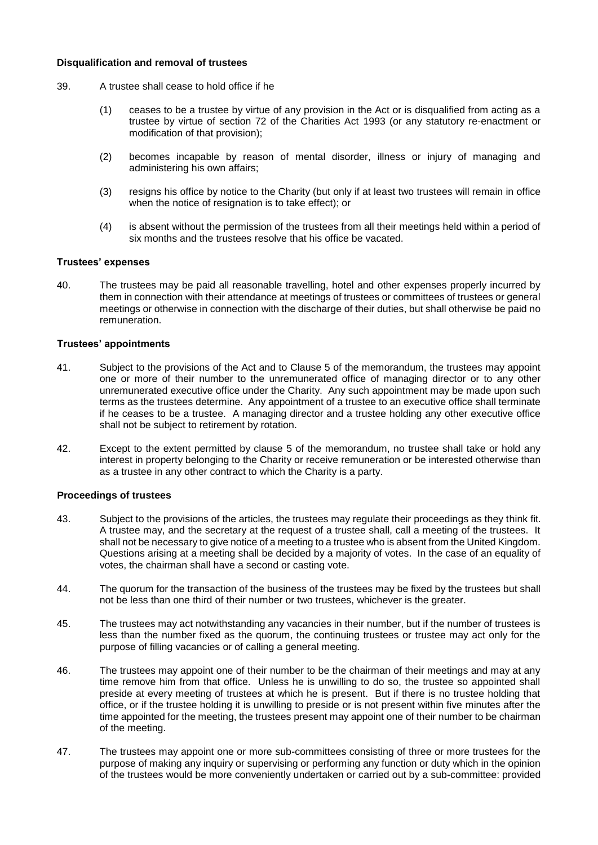#### **Disqualification and removal of trustees**

- 39. A trustee shall cease to hold office if he
	- (1) ceases to be a trustee by virtue of any provision in the Act or is disqualified from acting as a trustee by virtue of section 72 of the Charities Act 1993 (or any statutory re-enactment or modification of that provision);
	- (2) becomes incapable by reason of mental disorder, illness or injury of managing and administering his own affairs;
	- (3) resigns his office by notice to the Charity (but only if at least two trustees will remain in office when the notice of resignation is to take effect); or
	- (4) is absent without the permission of the trustees from all their meetings held within a period of six months and the trustees resolve that his office be vacated.

#### **Trustees' expenses**

40. The trustees may be paid all reasonable travelling, hotel and other expenses properly incurred by them in connection with their attendance at meetings of trustees or committees of trustees or general meetings or otherwise in connection with the discharge of their duties, but shall otherwise be paid no remuneration.

#### **Trustees' appointments**

- 41. Subject to the provisions of the Act and to Clause 5 of the memorandum, the trustees may appoint one or more of their number to the unremunerated office of managing director or to any other unremunerated executive office under the Charity. Any such appointment may be made upon such terms as the trustees determine. Any appointment of a trustee to an executive office shall terminate if he ceases to be a trustee. A managing director and a trustee holding any other executive office shall not be subject to retirement by rotation.
- 42. Except to the extent permitted by clause 5 of the memorandum, no trustee shall take or hold any interest in property belonging to the Charity or receive remuneration or be interested otherwise than as a trustee in any other contract to which the Charity is a party.

#### **Proceedings of trustees**

- 43. Subject to the provisions of the articles, the trustees may regulate their proceedings as they think fit. A trustee may, and the secretary at the request of a trustee shall, call a meeting of the trustees. It shall not be necessary to give notice of a meeting to a trustee who is absent from the United Kingdom. Questions arising at a meeting shall be decided by a majority of votes. In the case of an equality of votes, the chairman shall have a second or casting vote.
- 44. The quorum for the transaction of the business of the trustees may be fixed by the trustees but shall not be less than one third of their number or two trustees, whichever is the greater.
- 45. The trustees may act notwithstanding any vacancies in their number, but if the number of trustees is less than the number fixed as the quorum, the continuing trustees or trustee may act only for the purpose of filling vacancies or of calling a general meeting.
- 46. The trustees may appoint one of their number to be the chairman of their meetings and may at any time remove him from that office. Unless he is unwilling to do so, the trustee so appointed shall preside at every meeting of trustees at which he is present. But if there is no trustee holding that office, or if the trustee holding it is unwilling to preside or is not present within five minutes after the time appointed for the meeting, the trustees present may appoint one of their number to be chairman of the meeting.
- 47. The trustees may appoint one or more sub-committees consisting of three or more trustees for the purpose of making any inquiry or supervising or performing any function or duty which in the opinion of the trustees would be more conveniently undertaken or carried out by a sub-committee: provided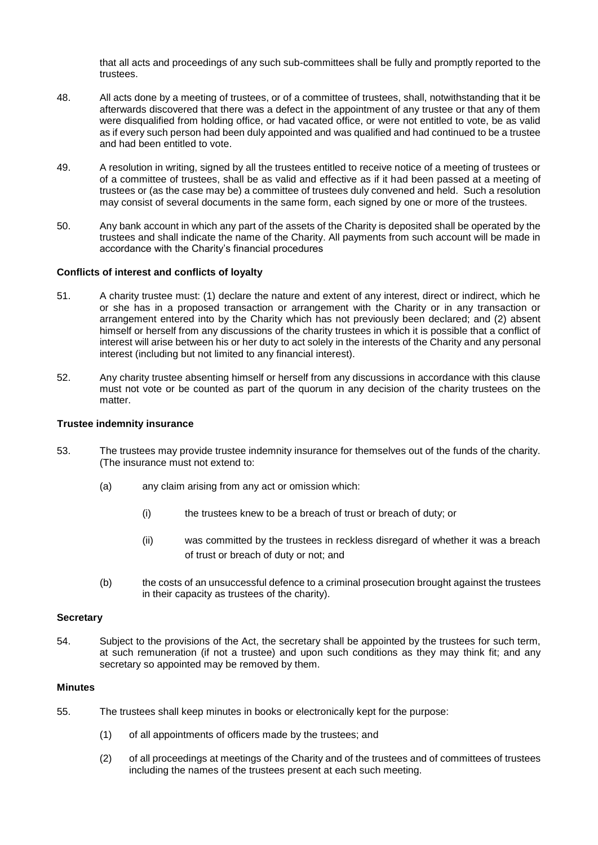that all acts and proceedings of any such sub-committees shall be fully and promptly reported to the trustees.

- 48. All acts done by a meeting of trustees, or of a committee of trustees, shall, notwithstanding that it be afterwards discovered that there was a defect in the appointment of any trustee or that any of them were disqualified from holding office, or had vacated office, or were not entitled to vote, be as valid as if every such person had been duly appointed and was qualified and had continued to be a trustee and had been entitled to vote.
- 49. A resolution in writing, signed by all the trustees entitled to receive notice of a meeting of trustees or of a committee of trustees, shall be as valid and effective as if it had been passed at a meeting of trustees or (as the case may be) a committee of trustees duly convened and held. Such a resolution may consist of several documents in the same form, each signed by one or more of the trustees.
- 50. Any bank account in which any part of the assets of the Charity is deposited shall be operated by the trustees and shall indicate the name of the Charity. All payments from such account will be made in accordance with the Charity's financial procedures

## **Conflicts of interest and conflicts of loyalty**

- 51. A charity trustee must: (1) declare the nature and extent of any interest, direct or indirect, which he or she has in a proposed transaction or arrangement with the Charity or in any transaction or arrangement entered into by the Charity which has not previously been declared; and (2) absent himself or herself from any discussions of the charity trustees in which it is possible that a conflict of interest will arise between his or her duty to act solely in the interests of the Charity and any personal interest (including but not limited to any financial interest).
- 52. Any charity trustee absenting himself or herself from any discussions in accordance with this clause must not vote or be counted as part of the quorum in any decision of the charity trustees on the matter.

#### **Trustee indemnity insurance**

- 53. The trustees may provide trustee indemnity insurance for themselves out of the funds of the charity. (The insurance must not extend to:
	- (a) any claim arising from any act or omission which:
		- (i) the trustees knew to be a breach of trust or breach of duty; or
		- (ii) was committed by the trustees in reckless disregard of whether it was a breach of trust or breach of duty or not; and
	- (b) the costs of an unsuccessful defence to a criminal prosecution brought against the trustees in their capacity as trustees of the charity).

#### **Secretary**

54. Subject to the provisions of the Act, the secretary shall be appointed by the trustees for such term, at such remuneration (if not a trustee) and upon such conditions as they may think fit; and any secretary so appointed may be removed by them.

#### **Minutes**

- 55. The trustees shall keep minutes in books or electronically kept for the purpose:
	- (1) of all appointments of officers made by the trustees; and
	- (2) of all proceedings at meetings of the Charity and of the trustees and of committees of trustees including the names of the trustees present at each such meeting.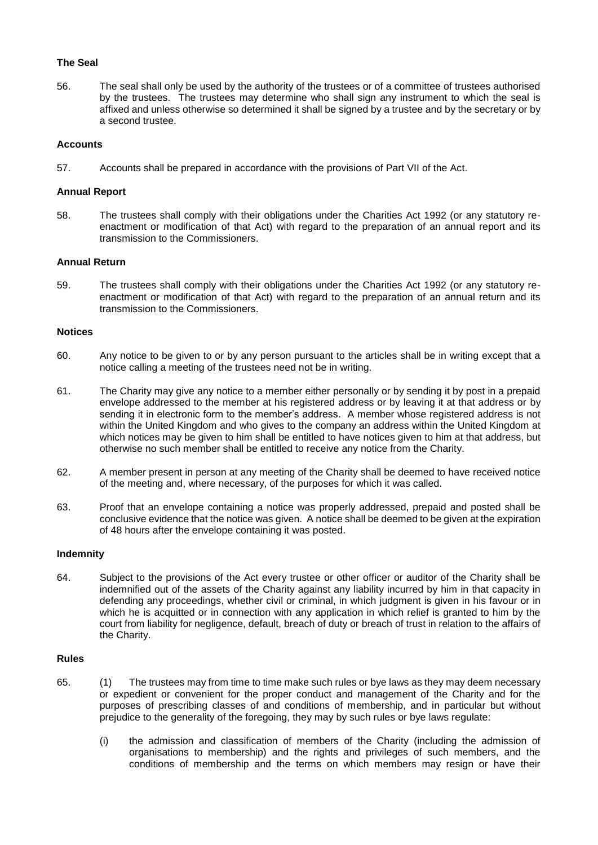#### **The Seal**

56. The seal shall only be used by the authority of the trustees or of a committee of trustees authorised by the trustees. The trustees may determine who shall sign any instrument to which the seal is affixed and unless otherwise so determined it shall be signed by a trustee and by the secretary or by a second trustee.

## **Accounts**

57. Accounts shall be prepared in accordance with the provisions of Part VII of the Act.

### **Annual Report**

58. The trustees shall comply with their obligations under the Charities Act 1992 (or any statutory reenactment or modification of that Act) with regard to the preparation of an annual report and its transmission to the Commissioners.

## **Annual Return**

59. The trustees shall comply with their obligations under the Charities Act 1992 (or any statutory reenactment or modification of that Act) with regard to the preparation of an annual return and its transmission to the Commissioners.

#### **Notices**

- 60. Any notice to be given to or by any person pursuant to the articles shall be in writing except that a notice calling a meeting of the trustees need not be in writing.
- 61. The Charity may give any notice to a member either personally or by sending it by post in a prepaid envelope addressed to the member at his registered address or by leaving it at that address or by sending it in electronic form to the member's address. A member whose registered address is not within the United Kingdom and who gives to the company an address within the United Kingdom at which notices may be given to him shall be entitled to have notices given to him at that address, but otherwise no such member shall be entitled to receive any notice from the Charity.
- 62. A member present in person at any meeting of the Charity shall be deemed to have received notice of the meeting and, where necessary, of the purposes for which it was called.
- 63. Proof that an envelope containing a notice was properly addressed, prepaid and posted shall be conclusive evidence that the notice was given. A notice shall be deemed to be given at the expiration of 48 hours after the envelope containing it was posted.

#### **Indemnity**

64. Subject to the provisions of the Act every trustee or other officer or auditor of the Charity shall be indemnified out of the assets of the Charity against any liability incurred by him in that capacity in defending any proceedings, whether civil or criminal, in which judgment is given in his favour or in which he is acquitted or in connection with any application in which relief is granted to him by the court from liability for negligence, default, breach of duty or breach of trust in relation to the affairs of the Charity.

## **Rules**

- 65. (1) The trustees may from time to time make such rules or bye laws as they may deem necessary or expedient or convenient for the proper conduct and management of the Charity and for the purposes of prescribing classes of and conditions of membership, and in particular but without prejudice to the generality of the foregoing, they may by such rules or bye laws regulate:
	- (i) the admission and classification of members of the Charity (including the admission of organisations to membership) and the rights and privileges of such members, and the conditions of membership and the terms on which members may resign or have their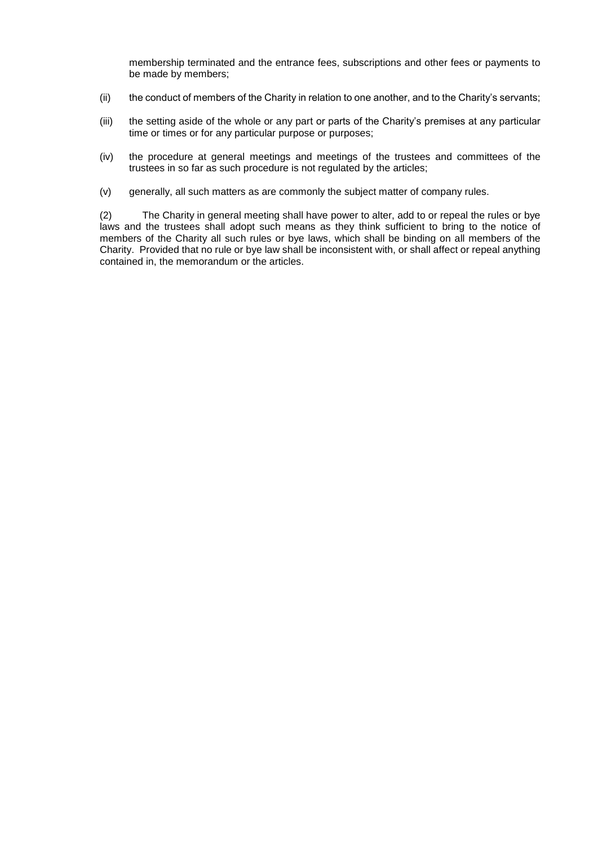membership terminated and the entrance fees, subscriptions and other fees or payments to be made by members;

- (ii) the conduct of members of the Charity in relation to one another, and to the Charity's servants;
- (iii) the setting aside of the whole or any part or parts of the Charity's premises at any particular time or times or for any particular purpose or purposes;
- (iv) the procedure at general meetings and meetings of the trustees and committees of the trustees in so far as such procedure is not regulated by the articles;
- (v) generally, all such matters as are commonly the subject matter of company rules.

(2) The Charity in general meeting shall have power to alter, add to or repeal the rules or bye laws and the trustees shall adopt such means as they think sufficient to bring to the notice of members of the Charity all such rules or bye laws, which shall be binding on all members of the Charity. Provided that no rule or bye law shall be inconsistent with, or shall affect or repeal anything contained in, the memorandum or the articles.